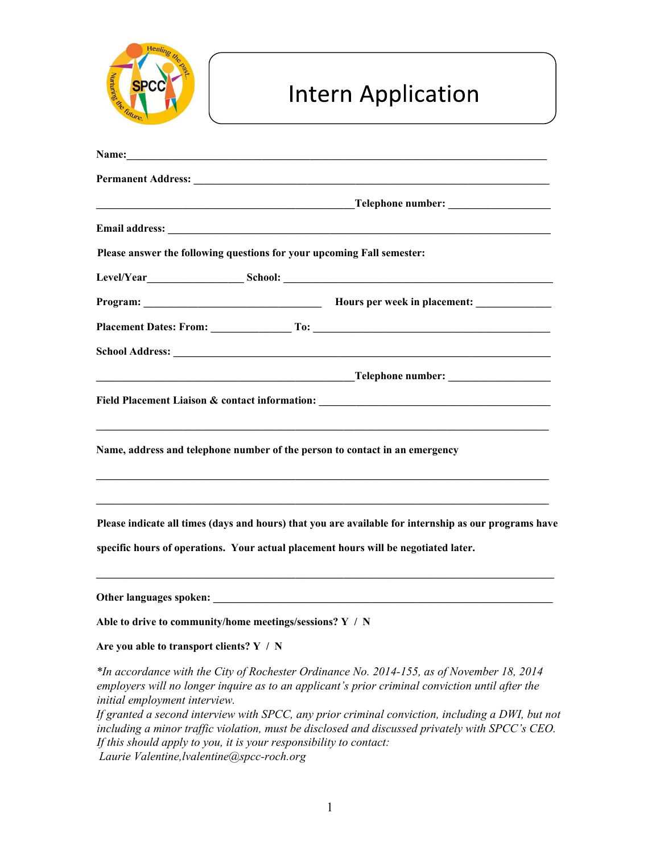

## **Intern Application**

| <b>Email address:</b> <u>Contract of the contract of the contract of the contract of the contract of the contract of the contract of the contract of the contract of the contract of the contract of the contract of the contract of </u> |                                                                                                                                                                                                     |
|-------------------------------------------------------------------------------------------------------------------------------------------------------------------------------------------------------------------------------------------|-----------------------------------------------------------------------------------------------------------------------------------------------------------------------------------------------------|
| Please answer the following questions for your upcoming Fall semester:                                                                                                                                                                    |                                                                                                                                                                                                     |
|                                                                                                                                                                                                                                           |                                                                                                                                                                                                     |
|                                                                                                                                                                                                                                           |                                                                                                                                                                                                     |
|                                                                                                                                                                                                                                           |                                                                                                                                                                                                     |
|                                                                                                                                                                                                                                           |                                                                                                                                                                                                     |
|                                                                                                                                                                                                                                           |                                                                                                                                                                                                     |
|                                                                                                                                                                                                                                           | Field Placement Liaison & contact information: _________________________________                                                                                                                    |
|                                                                                                                                                                                                                                           |                                                                                                                                                                                                     |
| Name, address and telephone number of the person to contact in an emergency                                                                                                                                                               |                                                                                                                                                                                                     |
|                                                                                                                                                                                                                                           |                                                                                                                                                                                                     |
|                                                                                                                                                                                                                                           |                                                                                                                                                                                                     |
|                                                                                                                                                                                                                                           | Please indicate all times (days and hours) that you are available for internship as our programs have                                                                                               |
| specific hours of operations. Your actual placement hours will be negotiated later.                                                                                                                                                       |                                                                                                                                                                                                     |
|                                                                                                                                                                                                                                           |                                                                                                                                                                                                     |
|                                                                                                                                                                                                                                           |                                                                                                                                                                                                     |
| Able to drive to community/home meetings/sessions? $Y / N$                                                                                                                                                                                |                                                                                                                                                                                                     |
| Are you able to transport clients? Y / N                                                                                                                                                                                                  |                                                                                                                                                                                                     |
| initial employment interview.                                                                                                                                                                                                             | *In accordance with the City of Rochester Ordinance No. 2014-155, as of November 18, 2014<br>employers will no longer inquire as to an applicant's prior criminal conviction until after the        |
| If this should apply to you, it is your responsibility to contact:                                                                                                                                                                        | If granted a second interview with SPCC, any prior criminal conviction, including a DWI, but not<br>including a minor traffic violation, must be disclosed and discussed privately with SPCC's CEO. |

*Laurie Valentine,lvalentine@spcc-roch.org*